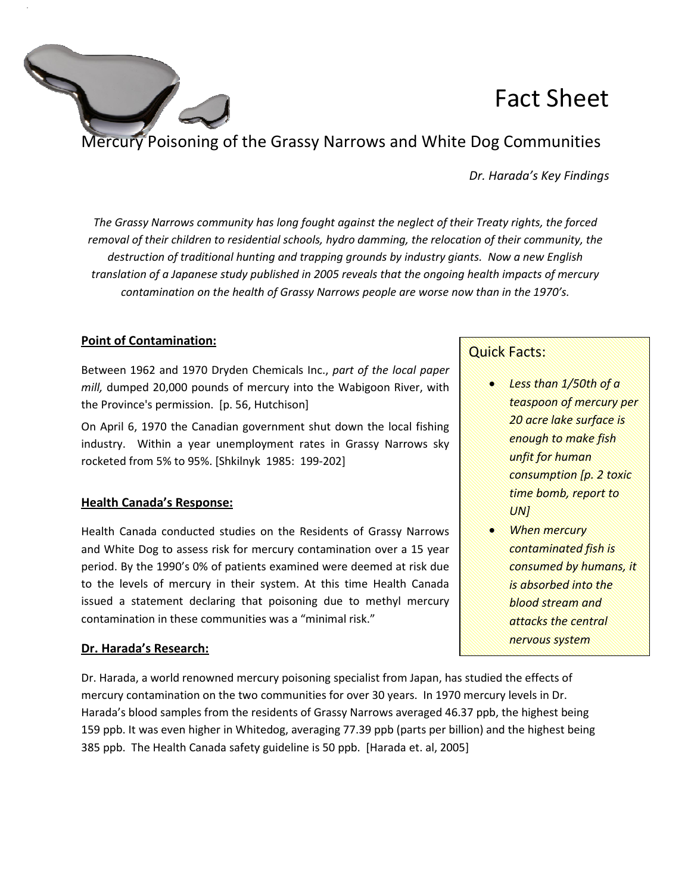

Mercury Poisoning of the Grassy Narrows and White Dog Communities

*Dr. Harada's Key Findings Findings* 

The Grassy Narrows community has long fought against the neglect of their Treaty rights, the forced *removal of their children to residential schools, hydro damming, the relocation of their community, the*  destruction of traditional hunting and trapping grounds by industry giants. Now a new English *translation of a Japanese study published in 2005 2005 reveals that the ongoing health impa . impacts of mercury*  contamination on the health of Grassy Narrows people are worse now than in the 1970's.

## **Point of Contamination:**

Between 1962 and 1970 Dryden Chemicals Inc., part of the local paper *mill,* dumped 20,000 pounds of mercury into the Wabigoon River, with the Province's permission. [p. 56, Hutchison]

On April 6, 1970 the Canadian government shut down the local fishing industry. Within a year unemployment rates in Grassy Narrows sky rocketed from 5% to 95%. [Shkilnyk 1985: 199-202]

## **Health Canada's Response:**

Health Canada conducted studies on the Residents of Grassy Narrows and White Dog to assess risk for mercury contamination over a 15 year period. By the 1990's 0% of patients examined were deemed at risk due Health Canada conducted studies on the Residents of Grassy Narrows<br>and White Dog to assess risk for mercury contamination over a 15 year<br>period. By the 1990's 0% of patients examined were deemed at risk due<br>to the levels o issued a statement declaring that poisoning due to methyl mercury contamination in these communities was a "minimal risk."

## **Dr. Harada's Research:**

Dr. Harada, a world renowned mercury poisoning specialist from Japan Japan, has studied the effects of mercury contamination on the two communities for over 30 years. In 1970 mercury levels in Dr. Harada's blood samples from the residents of Grassy Narrows averaged 46.37 ppb, the highest being<br>159 ppb. It was even higher in Whitedog, averaging 77.39 ppb (parts per billion) and the highest being<br>385 ppb. The Health C 159 ppb. It was even higher in Whitedog, averaging 77.39 ppb (parts per billion) and the highest being 385 ppb. The Health Canada safety guideline is 50 ppb. [Harada et. al, 2005]

## Quick Facts:

- *Less than 1/50th of a teaspoon of mercury per 20 acre lake surface is enough to make fish unfit for human consumption [p. 2 toxic time bomb, report to UN]*
- *When mercury contaminated fish is consumed by humans, it is absorbed into the blood stream and attacks the central nervous system*